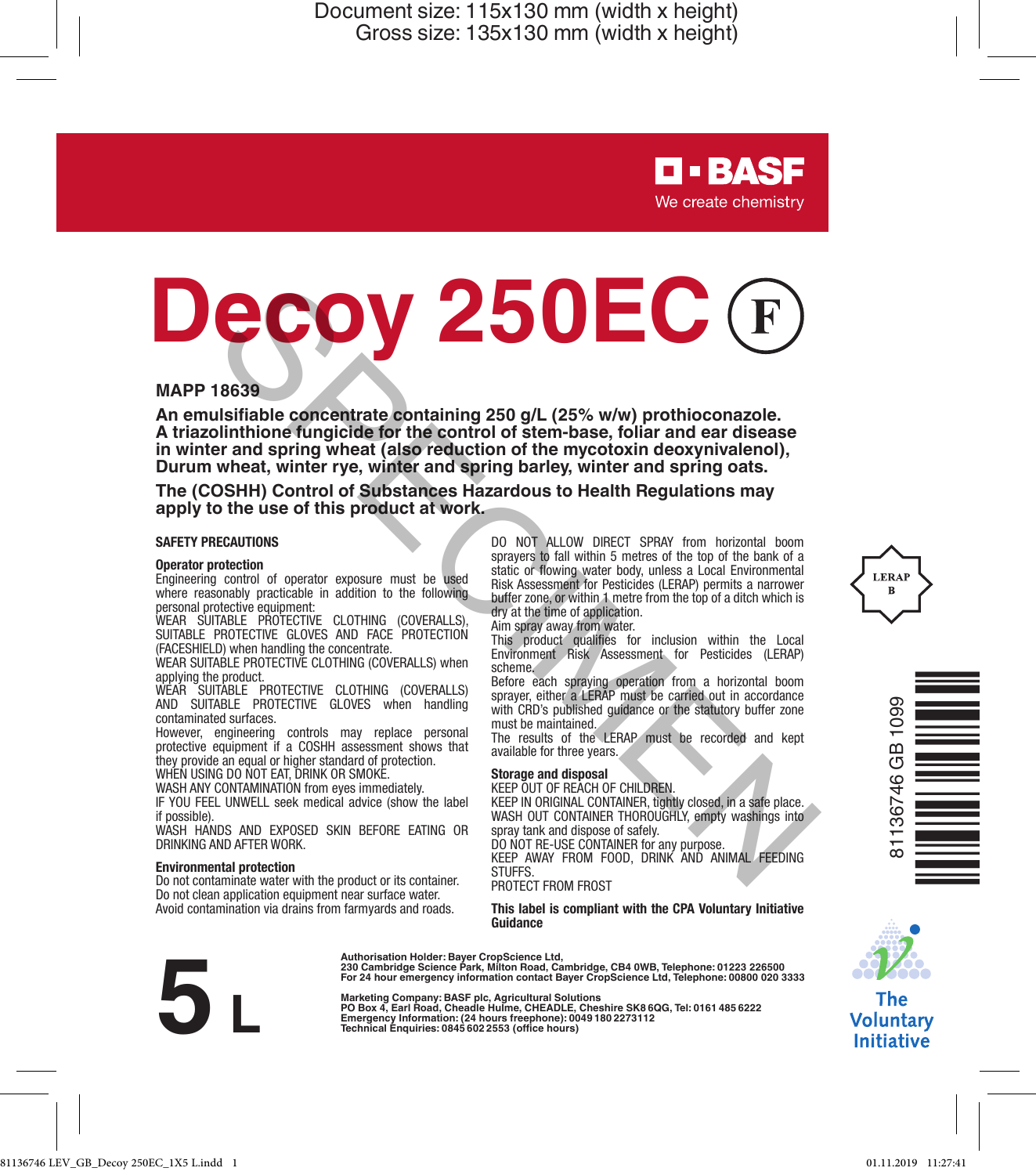> **D-BASF** We create chemistry

# **Decoy 250EC Example the concentrate contraining 250 g/L (25% w/w) profines can alternate contribute concentrate contraining 250 g/L (25% w/w) profineorazole.<br>
Suitablimation fungicide for the control of stem-base, foliar and ear dise**

#### **MAPP 18639**

**An emulsifiable concentrate containing 250 g/L (25% w/w) prothioconazole. A triazolinthione fungicide for the control of stem-base, foliar and ear disease in winter and spring wheat (also reduction of the mycotoxin deoxynivalenol), Durum wheat, winter rye, winter and spring barley, winter and spring oats.**

**The (COSHH) Control of Substances Hazardous to Health Regulations may apply to the use of this product at work.**

#### **SAFETY PRECAUTIONS**

#### **Operator protection**

Engineering control of operator exposure must be used where reasonably practicable in addition to the following personal protective equipment:

WEAR SUITABLE PROTECTIVE CLOTHING (COVERALLS), SUITABLE PROTECTIVE GLOVES AND FACE PROTECTION (FACESHIELD) when handling the concentrate.

WEAR SUITABLE PROTECTIVE CLOTHING (COVERALLS) when applying the product.

WEAR SUITABLE PROTECTIVE CLOTHING (COVERALLS) AND SUITABLE PROTECTIVE GLOVES when handling contaminated surfaces.

However, engineering controls may replace personal protective equipment if a COSHH assessment shows that they provide an equal or higher standard of protection. WHEN USING DO NOT EAT, DRINK OR SMOKE

WASH ANY CONTAMINATION from eyes immediately.

IF YOU FEEL UNWELL seek medical advice (show the label if possible

WASH HANDS AND EXPOSED SKIN BEFORE EATING OR DRINKING AND AFTER WORK.

#### **Environmental protection**

Do not contaminate water with the product or its container. Do not clean application equipment near surface water. Avoid contamination via drains from farmyards and roads.

DO NOT ALLOW DIRECT SPRAY from horizontal boom sprayers to fall within 5 metres of the top of the bank of a static or flowing water body, unless a Local Environmental Risk Assessment for Pesticides (LERAP) permits a narrower buffer zone, or within 1 metre from the top of a ditch which is dry at the time of application.

Aim spray away from water.

This product qualifies for inclusion within the Local Environment Risk Assessment for Pesticides (LERAP) scheme.

Before each spraying operation from a horizontal boom sprayer, either a LERAP must be carried out in accordance with CRD's published guidance or the statutory buffer zone must be maintained.

The results of the LERAP must be recorded and kept available for three years.

#### **Storage and disposal**

KEEP OUT OF REACH OF CHILDREN.

KEEP IN ORIGINAL CONTAINER, tightly closed, in a safe place. WASH OUT CONTAINER THOROUGHLY, empty washings into spray tank and dispose of safely.

DO NOT RE-USE CONTAINER for any purpose.

KEEP AWAY FROM FOOD, DRINK AND ANIMAL FEEDING **STUFFS** 

PROTECT FROM FROST

**This label is compliant with the CPA Voluntary Initiative Guidance**



**Authorisation Holder: Bayer CropScience Ltd, 230 Cambridge Science Park, Milton Road, Cambridge, CB4 0WB, Telephone: 01223 226500 For 24 hour emergency information contact Bayer CropScience Ltd, Telephone: 00800 020 3333**

**Marketing Company: BASF plc, Agricultural Solutions**  230 Gambridge Science Park, Millton Read, Cambridge, CB4 0WB, Telephone: 01232 22<br>
For 24 hour emergency information contact Bayer CropScience Ltd, Telephone: 01800<br>
Marketing comany: BASF pic, Agricultural Solutions<br>
Po







The **Voluntary Initiative**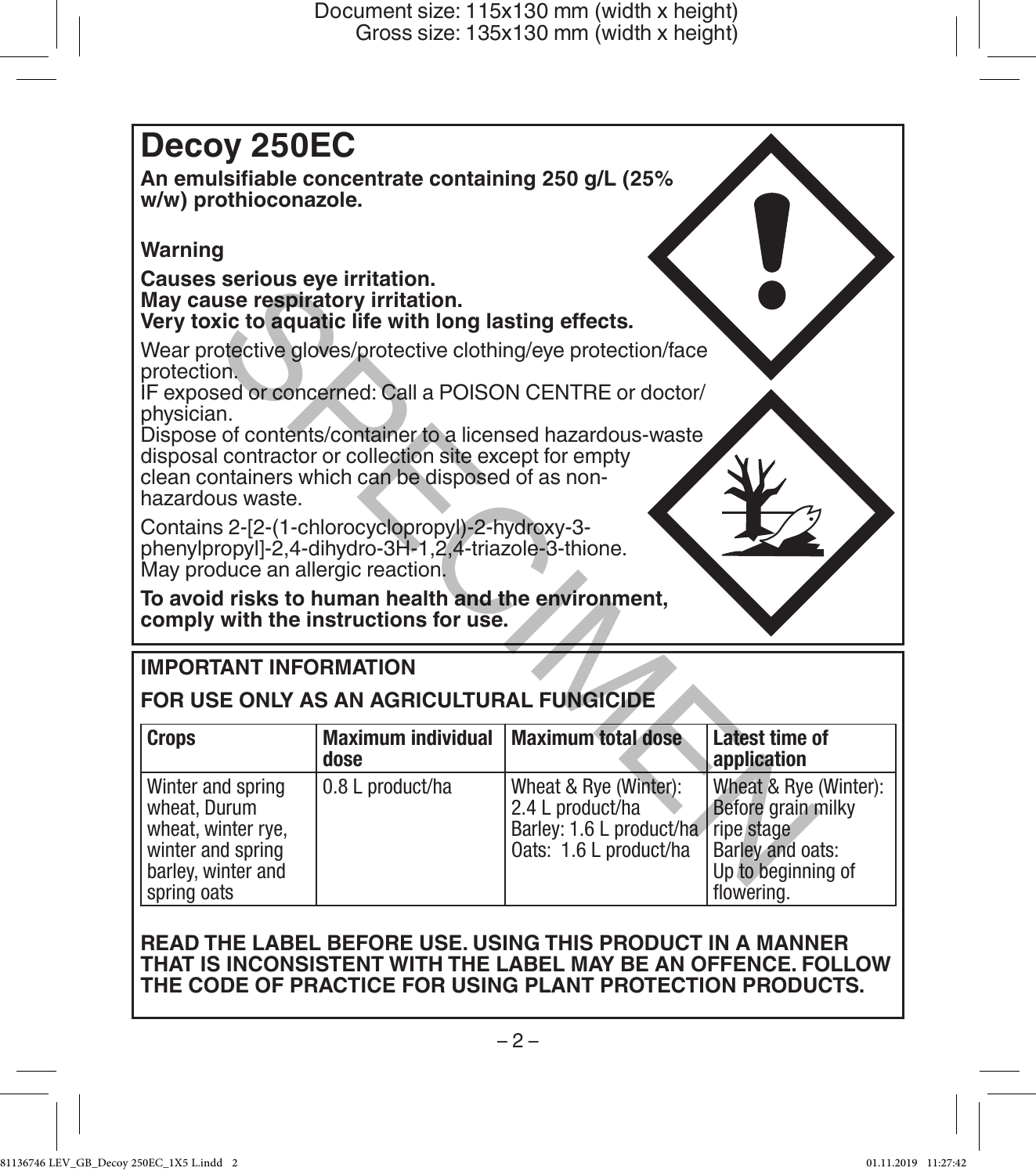# **Decoy 250EC**

**An emulsifiable concentrate containing 250 g/L (25% w/w) prothioconazole.** 

# **Warning**

#### **Causes serious eye irritation. May cause respiratory irritation. Very toxic to aquatic life with long lasting effects.**

# **IMPORTANT INFORMATION**

# **FOR USE ONLY AS AN AGRICULTURAL FUNGICIDE**

| Causes serious eve illitation.<br>May cause respiratory irritation.<br>Very toxic to aquatic life with long lasting effects.                                                                                                                                                                                                                               |                                   |                                                                                                 |                                                                                                                   |
|------------------------------------------------------------------------------------------------------------------------------------------------------------------------------------------------------------------------------------------------------------------------------------------------------------------------------------------------------------|-----------------------------------|-------------------------------------------------------------------------------------------------|-------------------------------------------------------------------------------------------------------------------|
| Wear protective gloves/protective clothing/eye protection/face<br>protection.<br>IF exposed or concerned: Call a POISON CENTRE or doctor/<br>physician.<br>Dispose of contents/container to a licensed hazardous-waste<br>disposal contractor or collection site except for empty<br>clean containers which can be disposed of as non-<br>hazardous waste. |                                   |                                                                                                 |                                                                                                                   |
| Contains 2-[2-(1-chlorocyclopropyl)-2-hydroxy-3-<br>phenylpropyl]-2,4-dihydro-3H-1,2,4-triazole-3-thione.<br>May produce an allergic reaction.                                                                                                                                                                                                             |                                   |                                                                                                 |                                                                                                                   |
| To avoid risks to human health and the environment,<br>comply with the instructions for use.                                                                                                                                                                                                                                                               |                                   |                                                                                                 |                                                                                                                   |
| <b>IMPORTANT INFORMATION</b>                                                                                                                                                                                                                                                                                                                               |                                   |                                                                                                 |                                                                                                                   |
| FOR USE ONLY AS AN AGRICULTURAL FUNGICIDE                                                                                                                                                                                                                                                                                                                  |                                   |                                                                                                 |                                                                                                                   |
| Crops                                                                                                                                                                                                                                                                                                                                                      | <b>Maximum individual</b><br>dose | <b>Maximum total dose</b>                                                                       | Latest time of<br>application                                                                                     |
| Winter and spring<br>wheat. Durum<br>wheat, winter rye,<br>winter and spring<br>barley, winter and<br>spring oats                                                                                                                                                                                                                                          | 0.8 L product/ha                  | Wheat & Rye (Winter):<br>2.4 L product/ha<br>Barley: 1.6 L product/ha<br>Oats: 1.6 L product/ha | Wheat & Rye (Winter):<br>Before grain milky<br>ripe stage<br>Barley and oats:<br>Up to beginning of<br>flowering. |

# **READ THE LABEL BEFORE USE. USING THIS PRODUCT IN A MANNER THAT IS INCONSISTENT WITH THE LABEL MAY BE AN OFFENCE. FOLLOW THE CODE OF PRACTICE FOR USING PLANT PROTECTION PRODUCTS.**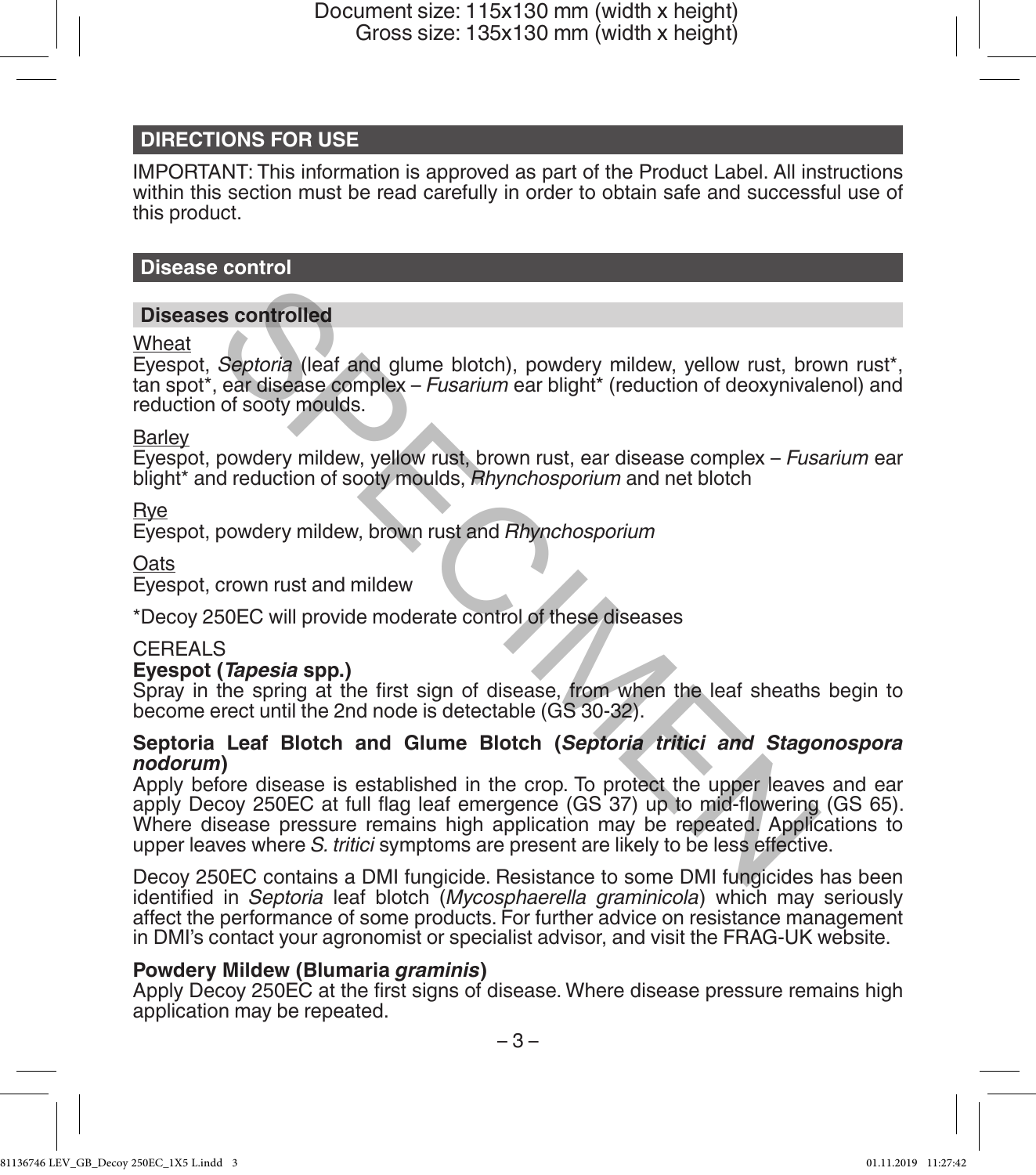## **DIRECTIONS FOR USE**

IMPORTANT: This information is approved as part of the Product Label. All instructions within this section must be read carefully in order to obtain safe and successful use of this product.

#### **Disease control**

#### **Diseases controlled**

**Wheat** 

Eyespot, *Septoria* (leaf and glume blotch), powdery mildew, yellow rust, brown rust\*, tan spot\*, ear disease complex – *Fusarium* ear blight\* (reduction of deoxynivalenol) and reduction of sooty moulds.

#### **Barley**

Eyespot, powdery mildew, yellow rust, brown rust, ear disease complex – *Fusarium* ear blight\* and reduction of sooty moulds, *Rhynchosporium* and net blotch

Rye

Eyespot, powdery mildew, brown rust and *Rhynchosporium*

**Oats** 

Eyespot, crown rust and mildew

\*Decoy 250EC will provide moderate control of these diseases

#### CEREALS

#### **Eyespot (***Tapesia* **spp.)**

Spray in the spring at the first sign of disease, from when the leaf sheaths begin to become erect until the 2nd node is detectable (GS 30-32).

#### **Septoria Leaf Blotch and Glume Blotch (***Septoria tritici and Stagonospora nodorum***)**

Apply before disease is established in the crop. To protect the upper leaves and ear apply Decoy 250EC at full flag leaf emergence (GS 37) up to mid-flowering (GS 65). Where disease pressure remains high application may be repeated. Applications to upper leaves where *S. tritici* symptoms are present are likely to be less effective. Septoria (leaf and glume blotch), powdery mildew, yellow rust, brown and secomplex - *Fusarium* ear blight\* (reduction of deoxynival of sooty moulds.<br>
powdery mildew, yellow rust, brown rust, ear disease complex - *Fusariu* 

Decoy 250EC contains a DMI fungicide. Resistance to some DMI fungicides has been identified in *Septoria* leaf blotch (*Mycosphaerella graminicola*) which may seriously affect the performance of some products. For further advice on resistance management in DMI's contact your agronomist or specialist advisor, and visit the FRAG-UK website.

#### **Powdery Mildew (Blumaria** *graminis***)**

Apply Decoy 250EC at the first signs of disease. Where disease pressure remains high application may be repeated.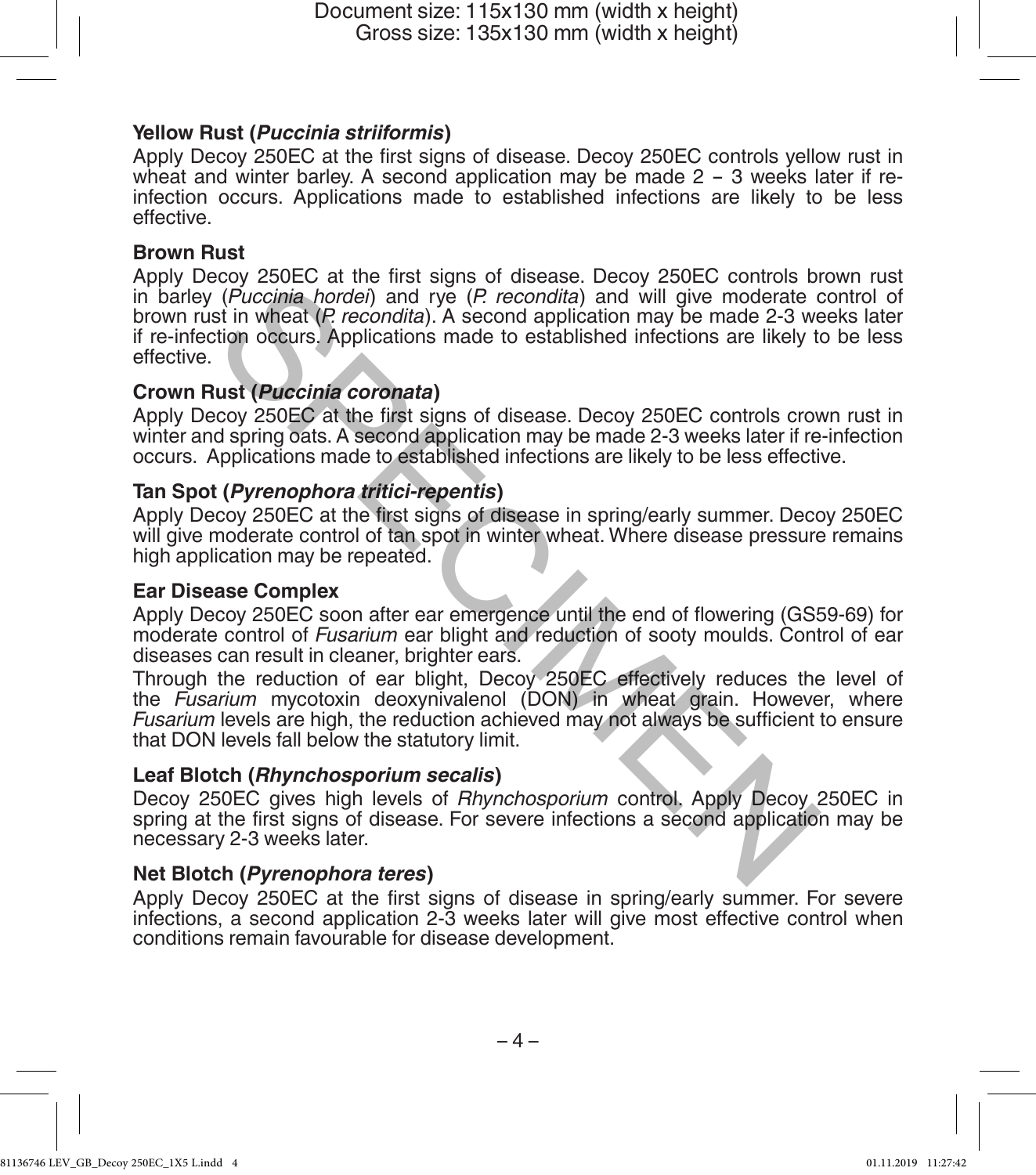#### **Yellow Rust (***Puccinia striiformis***)**

Apply Decoy 250EC at the first signs of disease. Decoy 250EC controls yellow rust in wheat and winter barley. A second application may be made 2 - 3 weeks later if reinfection occurs. Applications made to established infections are likely to be less effective.

#### **Brown Rust**

Apply Decoy 250EC at the first signs of disease. Decoy 250EC controls brown rust in barley (*Puccinia hordei*) and rye (*P. recondita*) and will give moderate control of brown rust in wheat (*P. recondita*). A second application may be made 2-3 weeks later if re-infection occurs. Applications made to established infections are likely to be less effective. solve a diversion and the missing of disease. Looking the first section (*Puccinia hordei*) and rye (*P* recondita) and will give moderate of the time wheat (*P* recondita). A second application may be made 2-3 we the time

#### **Crown Rust (***Puccinia coronata***)**

Apply Decoy 250EC at the first signs of disease. Decoy 250EC controls crown rust in winter and spring oats. A second application may be made 2-3 weeks later if re-infection occurs. Applications made to established infections are likely to be less effective.

#### **Tan Spot (***Pyrenophora tritici-repentis***)**

Apply Decoy 250EC at the first signs of disease in spring/early summer. Decoy 250EC will give moderate control of tan spot in winter wheat. Where disease pressure remains high application may be repeated.

#### **Ear Disease Complex**

Apply Decoy 250EC soon after ear emergence until the end of flowering (GS59-69) for moderate control of *Fusarium* ear blight and reduction of sooty moulds. Control of ear diseases can result in cleaner, brighter ears.

Through the reduction of ear blight, Decoy 250EC effectively reduces the level of the *Fusarium* mycotoxin deoxynivalenol (DON) in wheat grain. However, where *Fusarium* levels are high, the reduction achieved may not always be sufficient to ensure that DON levels fall below the statutory limit.

#### **Leaf Blotch (***Rhynchosporium secalis***)**

Decoy 250EC gives high levels of *Rhynchosporium* control. Apply Decoy 250EC in spring at the first signs of disease. For severe infections a second application may be necessary 2-3 weeks later.

#### **Net Blotch (***Pyrenophora teres***)**

Apply Decoy 250EC at the first signs of disease in spring/early summer. For severe infections, a second application 2-3 weeks later will give most effective control when conditions remain favourable for disease development.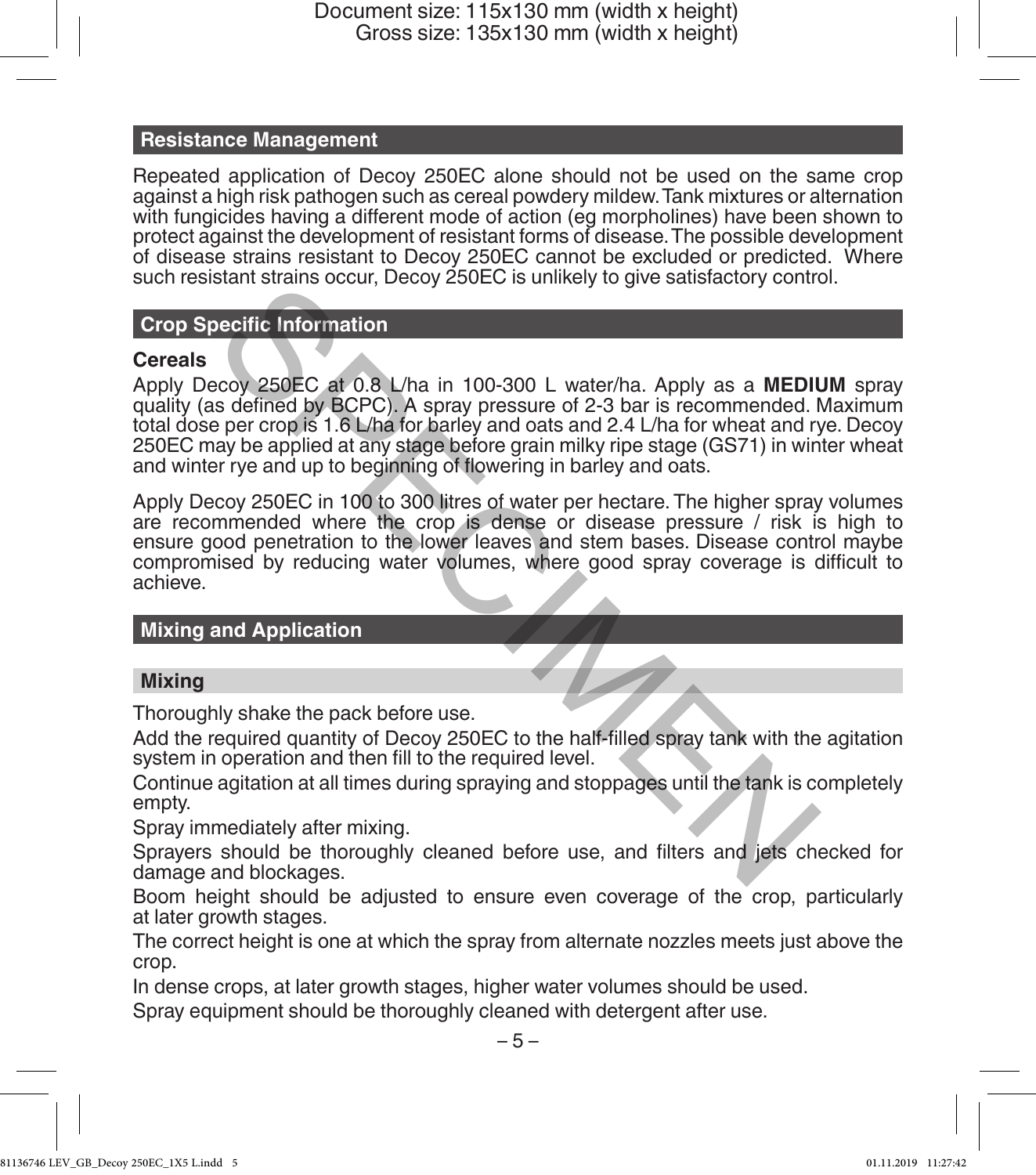#### **Resistance Management**

Repeated application of Decoy 250EC alone should not be used on the same crop against a high risk pathogen such as cereal powdery mildew. Tank mixtures or alternation with fungicides having a different mode of action (eg morpholines) have been shown to protect against the development of resistant forms of disease. The possible development of disease strains resistant to Decoy 250EC cannot be excluded or predicted. Where such resistant strains occur, Decoy 250EC is unlikely to give satisfactory control.

## **Crop Specific Information**

#### **Cereals**

Apply Decoy 250EC at 0.8 L/ha in 100-300 L water/ha. Apply as a **MEDIUM** spray quality (as defined by BCPC). A spray pressure of 2-3 bar is recommended. Maximum total dose per crop is 1.6 L/ha for barley and oats and 2.4 L/ha for wheat and rye. Decoy 250EC may be applied at any stage before grain milky ripe stage (GS71) in winter wheat and winter rye and up to beginning of flowering in barley and oats. Stain stating stocki, becoy 250CD is similarly to give statistationy contracted by Correlation<br>
secoy 250EC at 0.8 L/ha in 100-300 L water/ha. Apply as a MEDIU<br>
second by BCPC). A spray pressure of 2-3 bar is recommended.

Apply Decoy 250EC in 100 to 300 litres of water per hectare. The higher spray volumes are recommended where the crop is dense or disease pressure / risk is high to ensure good penetration to the lower leaves and stem bases. Disease control maybe compromised by reducing water volumes, where good spray coverage is difficult to achieve.

## **Mixing and Application**

#### **Mixing**

Thoroughly shake the pack before use.

Add the required quantity of Decoy 250EC to the half-filled spray tank with the agitation system in operation and then fill to the required level.

Continue agitation at all times during spraying and stoppages until the tank is completely empty.

Spray immediately after mixing.

Sprayers should be thoroughly cleaned before use, and filters and jets checked for damage and blockages.

Boom height should be adjusted to ensure even coverage of the crop, particularly at later growth stages.

The correct height is one at which the spray from alternate nozzles meets just above the crop.

In dense crops, at later growth stages, higher water volumes should be used.

Spray equipment should be thoroughly cleaned with detergent after use.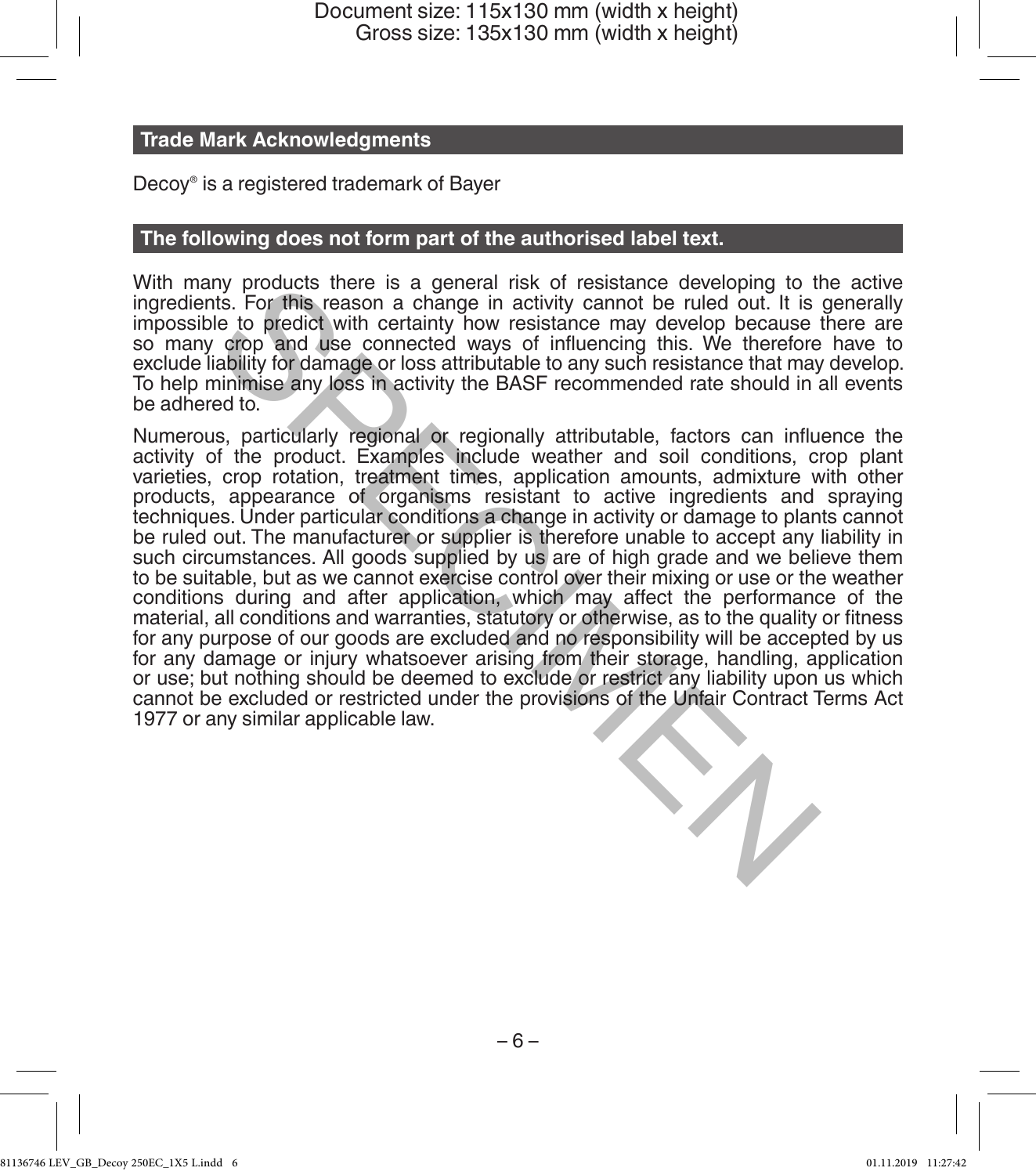#### **Trade Mark Acknowledgments**

Decoy® is a registered trademark of Bayer

#### **The following does not form part of the authorised label text.**

With many products there is a general risk of resistance developing to the active ingredients. For this reason a change in activity cannot be ruled out. It is generally impossible to predict with certainty how resistance may develop because there are so many crop and use connected ways of influencing this. We therefore have to exclude liability for damage or loss attributable to any such resistance that may develop. To help minimise any loss in activity the BASF recommended rate should in all events be adhered to.

Numerous, particularly regional or regionally attributable, factors can influence the activity of the product. Examples include weather and soil conditions, crop plant varieties, crop rotation, treatment times, application amounts, admixture with other products, appearance of organisms resistant to active ingredients and spraying techniques. Under particular conditions a change in activity or damage to plants cannot be ruled out. The manufacturer or supplier is therefore unable to accept any liability in such circumstances. All goods supplied by us are of high grade and we believe them to be suitable, but as we cannot exercise control over their mixing or use or the weather conditions during and after application, which may affect the performance of the material, all conditions and warranties, statutory or otherwise, as to the quality or fitness for any purpose of our goods are excluded and no responsibility will be accepted by us for any damage or injury whatsoever arising from their storage, handling, application or use; but nothing should be deemed to exclude or restrict any liability upon us which cannot be excluded or restricted under the provisions of the Unfair Contract Terms Act 1977 or any similar applicable law. my products there is a general risk of resistance developing to the Unity conducts the season a change in activity cannot be ruled out. It is<br>le to predict with certainty how resistance may develop because or<br>pop and use c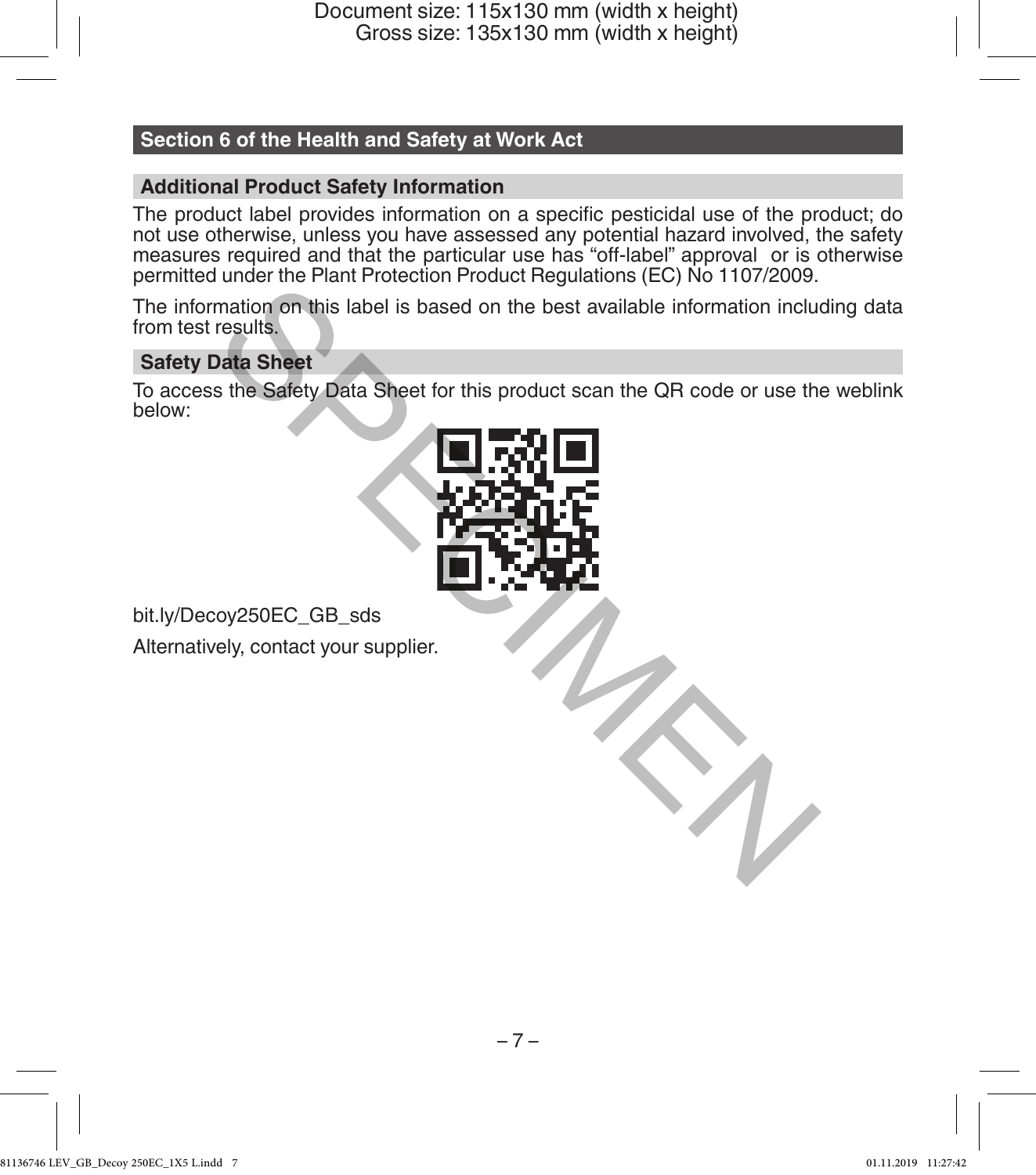# **Section 6 of the Health and Safety at Work Act**

# **Additional Product Safety Information**

The product label provides information on a specific pesticidal use of the product; do not use otherwise, unless you have assessed any potential hazard involved, the safety measures required and that the particular use has "off-label" approval or is otherwise permitted under the Plant Protection Product Regulations (EC) No 1107/2009.

The information on this label is based on the best available information including data from test results.

#### **Safety Data Sheet**

To access the Safety Data Sheet for this product scan the QR code or use the weblink below:



bit.ly/Decoy250EC\_GB\_sds Alternatively, contact your supplier.